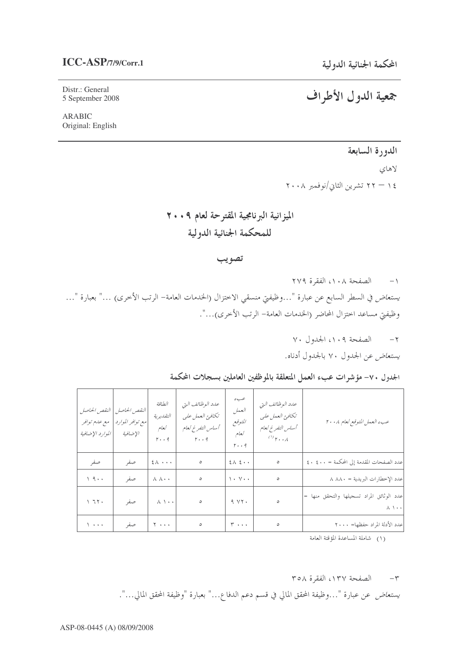## $ICC-ASP/7/9/Corr.1$

Distr.: General 5 September 2008

**ARABIC** Original: English

# جمعية الدول الأطراف

## الدورة السابعة

لاهاى ١٤ – ٢٢ تشرين الثاني/نوفمبر ٢٠٠٨

الميزانية البرنامجية المقترحة لعام ٢٠٠٩ للمحكمة الجنائية الدولية

#### تصويب

١- الصفحة ١٠٨، الفقرة ٢٧٩ *يستعاض في* السطر السابع عن عبارة "…وظيفتي منسقي الاختزال (الخدمات العامة– الرتب الأخرى) …" بعبارة "… وظيفيٍّ مساعد احتزال المحاضر (الخدمات العامة– الرتب الأخرى)...".

> $Y \cdot$  الصفحة ١٠٩، الجدول ٧٠ يستعاض عن الجدول ٧٠ بالجدول أدناه.

الجدول ٧٠- مؤشرات عبء العمل المتعلقة بالموظفين العاملين بسجلات المحكمة

| النقص الحاصل<br>مع علىم توافر<br>الموارد الإضافية | النقص الحاصل<br>مع توافر الموارد<br>الإضافية | الطباقة<br>التقديرية<br>كعام<br>$r \cdot q$ | عدد الوظائف التي<br>تكافئ العمل على<br>أساس التفرغ لعام<br>$r \cdot q$ | عبء<br>العمل<br>المتوقع<br>كعام<br>$r \cdot q$ | عدد الوظائف التي<br>تكافئ العمل على<br>أساس التفرغ لعام<br>$\sigma$ <sub>r</sub> . $\lambda$ | عبء العمل المتوقع لعام ٢٠٠٨                                         |
|---------------------------------------------------|----------------------------------------------|---------------------------------------------|------------------------------------------------------------------------|------------------------------------------------|----------------------------------------------------------------------------------------------|---------------------------------------------------------------------|
| صفر                                               | صفر                                          | $2 \wedge \cdots$                           | $\circ$                                                                | $2\lambda$ $2\cdot$                            | $\circ$                                                                                      | عدد الصفحات المقدمة إلى المحكمة = ٤٠٠ ٤٠٠                           |
| 19                                                | صفر                                          | $\lambda$ $\lambda$ $\cdot$ $\cdot$         | $\circ$                                                                | $\langle \cdot, \vee \cdot \cdot \rangle$      | $\circ$                                                                                      | عدد الإخطارات البريدية = ٨٨٨٠                                       |
| 177.                                              | صفر                                          | $\wedge \wedge \cdot \cdot$                 | $\circ$                                                                | 9.44.                                          | $\circ$                                                                                      | عدد الوثائق المراد تسجيلها والتحقق منها =<br>$\wedge \wedge \cdots$ |
| $\sqrt{1 + 1 + 1}$                                | صفر                                          | $\mathbf{y}$                                | $\circ$                                                                | $\mathsf{r}\ldots$                             | $\circ$                                                                                      | عدد الأدلة المراد حفظها= ٢٠٠٠                                       |

(١) شاملة المساعدة المؤقتة العامة

#### ٣- الصفحة ١٣٧، الفقرة ٣٥٨

*يستعاض* عن عبارة "…وظيفة المحقق المالي في قسم دعم الدفاع…" بعبارة "وظيفة المحقق المالي…".